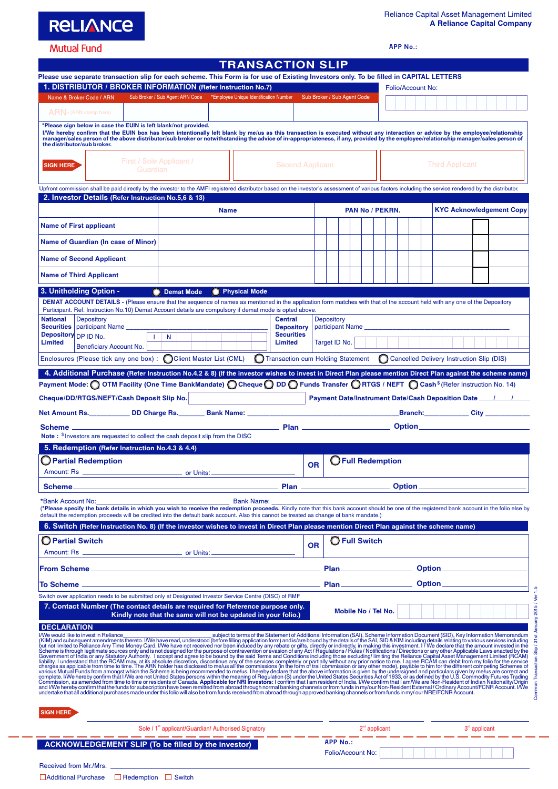**RELIANCE** 

## **Mutual Fund**

|  | <b>TRANSACTION SLIP</b> |  |  |
|--|-------------------------|--|--|
|  |                         |  |  |

**APP No.:**

| I NANSAU LIUN SLII<br>Please use separate transaction slip for each scheme. This Form is for use of Existing Investors only. To be filled in CAPITAL LETTERS<br>1. DISTRIBUTOR / BROKER INFORMATION (Refer Instruction No.7)                                                                                                                                                                                                                                             |                                                                                                                                         |                                                                 |                                                          |  |  |  |  |  |                                   | Folio/Account No:                    |                   |                      |                 |  |                        |                                      |  |  |  |                                                                                         |  |  |                                 |  |
|--------------------------------------------------------------------------------------------------------------------------------------------------------------------------------------------------------------------------------------------------------------------------------------------------------------------------------------------------------------------------------------------------------------------------------------------------------------------------|-----------------------------------------------------------------------------------------------------------------------------------------|-----------------------------------------------------------------|----------------------------------------------------------|--|--|--|--|--|-----------------------------------|--------------------------------------|-------------------|----------------------|-----------------|--|------------------------|--------------------------------------|--|--|--|-----------------------------------------------------------------------------------------|--|--|---------------------------------|--|
| Sub Broker / Sub Agent ARN Code *Employee Unique Identification Number<br>Sub Broker / Sub Agent Code<br>Name & Broker Code / ARN                                                                                                                                                                                                                                                                                                                                        |                                                                                                                                         |                                                                 |                                                          |  |  |  |  |  |                                   |                                      |                   |                      |                 |  |                        |                                      |  |  |  |                                                                                         |  |  |                                 |  |
|                                                                                                                                                                                                                                                                                                                                                                                                                                                                          | $ARN - (ARN stamp here)$                                                                                                                |                                                                 |                                                          |  |  |  |  |  |                                   |                                      |                   |                      |                 |  |                        |                                      |  |  |  |                                                                                         |  |  |                                 |  |
| *Please sign below in case the EUIN is left blank/not provided.<br>I/We hereby confirm that the EUIN box has been intentionally left blank by me/us as this transaction is executed without any interaction or advice by the employee/relationship<br>manager/sales person of the above distributor/sub broker or notwithstanding the advice of in-appropriateness, if any, provided by the employee/relationship manager/sales person of<br>the distributor/sub broker. |                                                                                                                                         |                                                                 |                                                          |  |  |  |  |  |                                   |                                      |                   |                      |                 |  |                        |                                      |  |  |  |                                                                                         |  |  |                                 |  |
| <b>SIGN HERE</b>                                                                                                                                                                                                                                                                                                                                                                                                                                                         | First / Sole Applicant /<br><b>Second Applicant</b><br>Guardian                                                                         |                                                                 |                                                          |  |  |  |  |  |                                   |                                      |                   |                      |                 |  | <b>Third Applicant</b> |                                      |  |  |  |                                                                                         |  |  |                                 |  |
| Upfront commission shall be paid directly by the investor to the AMFI registered distributor based on the investor's assessment of various factors including the service rendered by the distributor.                                                                                                                                                                                                                                                                    |                                                                                                                                         |                                                                 |                                                          |  |  |  |  |  |                                   |                                      |                   |                      |                 |  |                        |                                      |  |  |  |                                                                                         |  |  |                                 |  |
| 2. Investor Details (Refer Instruction No.5,6 & 13)<br><b>Name</b>                                                                                                                                                                                                                                                                                                                                                                                                       |                                                                                                                                         |                                                                 |                                                          |  |  |  |  |  |                                   |                                      |                   |                      |                 |  | PAN No / PEKRN.        |                                      |  |  |  |                                                                                         |  |  | <b>KYC Acknowledgement Copy</b> |  |
| <b>Name of First applicant</b>                                                                                                                                                                                                                                                                                                                                                                                                                                           |                                                                                                                                         |                                                                 |                                                          |  |  |  |  |  |                                   |                                      |                   |                      |                 |  |                        |                                      |  |  |  |                                                                                         |  |  |                                 |  |
| Name of Guardian (In case of Minor)                                                                                                                                                                                                                                                                                                                                                                                                                                      |                                                                                                                                         |                                                                 |                                                          |  |  |  |  |  |                                   |                                      |                   |                      |                 |  |                        |                                      |  |  |  |                                                                                         |  |  |                                 |  |
| <b>Name of Second Applicant</b>                                                                                                                                                                                                                                                                                                                                                                                                                                          |                                                                                                                                         |                                                                 |                                                          |  |  |  |  |  |                                   |                                      |                   |                      |                 |  |                        |                                      |  |  |  |                                                                                         |  |  |                                 |  |
| <b>Name of Third Applicant</b>                                                                                                                                                                                                                                                                                                                                                                                                                                           |                                                                                                                                         |                                                                 |                                                          |  |  |  |  |  |                                   |                                      |                   |                      |                 |  |                        |                                      |  |  |  |                                                                                         |  |  |                                 |  |
|                                                                                                                                                                                                                                                                                                                                                                                                                                                                          |                                                                                                                                         |                                                                 |                                                          |  |  |  |  |  |                                   |                                      |                   |                      |                 |  |                        |                                      |  |  |  |                                                                                         |  |  |                                 |  |
| 3. Unitholding Option -<br><b>O</b> Physical Mode<br><b>O</b> Demat Mode<br><b>DEMAT ACCOUNT DETAILS</b> - (Please ensure that the sequence of names as mentioned in the application form matches with that of the account held with any one of the Depository                                                                                                                                                                                                           |                                                                                                                                         |                                                                 |                                                          |  |  |  |  |  |                                   |                                      |                   |                      |                 |  |                        |                                      |  |  |  |                                                                                         |  |  |                                 |  |
| <b>National</b>                                                                                                                                                                                                                                                                                                                                                                                                                                                          | Participant. Ref. Instruction No.10) Demat Account details are compulsory if demat mode is opted above.<br>Depository<br><b>Central</b> |                                                                 |                                                          |  |  |  |  |  |                                   |                                      | <b>Depository</b> |                      |                 |  |                        |                                      |  |  |  |                                                                                         |  |  |                                 |  |
| Securities   participant Name _____<br>Depository DP ID No.                                                                                                                                                                                                                                                                                                                                                                                                              |                                                                                                                                         |                                                                 | <b>Depository</b><br><b>Securities</b><br>$\mathsf{I}$ N |  |  |  |  |  |                                   |                                      |                   |                      |                 |  | participant Name       |                                      |  |  |  |                                                                                         |  |  |                                 |  |
| <b>Limited</b>                                                                                                                                                                                                                                                                                                                                                                                                                                                           | Beneficiary Account No.                                                                                                                 |                                                                 |                                                          |  |  |  |  |  | Limited                           |                                      | Target ID No.     |                      |                 |  |                        |                                      |  |  |  |                                                                                         |  |  |                                 |  |
| Enclosures (Please tick any one box) : CClient Master List (CML)                                                                                                                                                                                                                                                                                                                                                                                                         |                                                                                                                                         |                                                                 |                                                          |  |  |  |  |  | Transaction cum Holding Statement |                                      |                   |                      |                 |  |                        |                                      |  |  |  | C Cancelled Delivery Instruction Slip (DIS)                                             |  |  |                                 |  |
| 4. Additional Purchase (Refer Instruction No.4.2 & 8) (If the investor wishes to invest in Direct Plan please mention Direct Plan against the scheme name)                                                                                                                                                                                                                                                                                                               |                                                                                                                                         |                                                                 |                                                          |  |  |  |  |  |                                   |                                      |                   |                      |                 |  |                        |                                      |  |  |  |                                                                                         |  |  |                                 |  |
| Payment Mode: $\bigcirc$ OTM Facility (One Time BankMandate) $\bigcirc$ Cheque $\bigcirc$ DD $\bigcirc$ Funds Transfer $\bigcirc$ RTGS / NEFT $\bigcirc$ Cash $^{\circ}$ (Refer Instruction No. 14)                                                                                                                                                                                                                                                                      |                                                                                                                                         |                                                                 |                                                          |  |  |  |  |  |                                   |                                      |                   |                      |                 |  |                        |                                      |  |  |  |                                                                                         |  |  |                                 |  |
| Cheque/DD/RTGS/NEFT/Cash Deposit Slip No.                                                                                                                                                                                                                                                                                                                                                                                                                                |                                                                                                                                         |                                                                 |                                                          |  |  |  |  |  |                                   |                                      |                   |                      |                 |  |                        |                                      |  |  |  | <b>Payment Date/Instrument Date/Cash Deposition Date</b> ______________________________ |  |  |                                 |  |
|                                                                                                                                                                                                                                                                                                                                                                                                                                                                          |                                                                                                                                         |                                                                 |                                                          |  |  |  |  |  |                                   |                                      |                   |                      |                 |  |                        |                                      |  |  |  |                                                                                         |  |  |                                 |  |
| Note: \$ Investors are requested to collect the cash deposit slip from the DISC                                                                                                                                                                                                                                                                                                                                                                                          |                                                                                                                                         |                                                                 |                                                          |  |  |  |  |  |                                   |                                      |                   |                      |                 |  |                        |                                      |  |  |  |                                                                                         |  |  |                                 |  |
| 5. Redemption (Refer Instruction No.4.3 & 4.4)                                                                                                                                                                                                                                                                                                                                                                                                                           |                                                                                                                                         |                                                                 |                                                          |  |  |  |  |  |                                   |                                      |                   |                      |                 |  |                        |                                      |  |  |  |                                                                                         |  |  |                                 |  |
| Partial Redemption                                                                                                                                                                                                                                                                                                                                                                                                                                                       |                                                                                                                                         |                                                                 |                                                          |  |  |  |  |  |                                   | <b>OFull Redemption</b><br><b>OR</b> |                   |                      |                 |  |                        |                                      |  |  |  |                                                                                         |  |  |                                 |  |
|                                                                                                                                                                                                                                                                                                                                                                                                                                                                          |                                                                                                                                         |                                                                 |                                                          |  |  |  |  |  |                                   |                                      |                   |                      |                 |  |                        |                                      |  |  |  |                                                                                         |  |  |                                 |  |
| <b>Scheme</b>                                                                                                                                                                                                                                                                                                                                                                                                                                                            | Plan                                                                                                                                    |                                                                 |                                                          |  |  |  |  |  |                                   | <b>Option</b>                        |                   |                      |                 |  |                        |                                      |  |  |  |                                                                                         |  |  |                                 |  |
| (*Please specify the bank details in which you wish to receive the redemption proceeds. Kindly note that this bank account should be one of the registered bank account in the folio else by                                                                                                                                                                                                                                                                             |                                                                                                                                         |                                                                 |                                                          |  |  |  |  |  |                                   |                                      |                   |                      |                 |  |                        |                                      |  |  |  |                                                                                         |  |  |                                 |  |
| default the redemption proceeds will be credited into the default bank account. Also this cannot be treated as change of bank mandate.)                                                                                                                                                                                                                                                                                                                                  |                                                                                                                                         |                                                                 |                                                          |  |  |  |  |  |                                   |                                      |                   |                      |                 |  |                        |                                      |  |  |  |                                                                                         |  |  |                                 |  |
| 6. Switch (Refer Instruction No. 8) (If the investor wishes to invest in Direct Plan please mention Direct Plan against the scheme name)                                                                                                                                                                                                                                                                                                                                 |                                                                                                                                         |                                                                 |                                                          |  |  |  |  |  |                                   |                                      |                   |                      |                 |  |                        |                                      |  |  |  |                                                                                         |  |  |                                 |  |
| <b>Partial Switch</b>                                                                                                                                                                                                                                                                                                                                                                                                                                                    |                                                                                                                                         |                                                                 | <b>OR</b>                                                |  |  |  |  |  |                                   |                                      |                   | <b>O</b> Full Switch |                 |  |                        |                                      |  |  |  |                                                                                         |  |  |                                 |  |
|                                                                                                                                                                                                                                                                                                                                                                                                                                                                          |                                                                                                                                         |                                                                 |                                                          |  |  |  |  |  |                                   |                                      |                   |                      |                 |  |                        |                                      |  |  |  |                                                                                         |  |  |                                 |  |
|                                                                                                                                                                                                                                                                                                                                                                                                                                                                          |                                                                                                                                         |                                                                 |                                                          |  |  |  |  |  |                                   |                                      |                   |                      |                 |  |                        | <b>Plan_________________________</b> |  |  |  |                                                                                         |  |  |                                 |  |
| Switch over application needs to be submitted only at Designated Investor Service Centre (DISC) of RMF                                                                                                                                                                                                                                                                                                                                                                   |                                                                                                                                         |                                                                 |                                                          |  |  |  |  |  |                                   |                                      |                   |                      |                 |  |                        |                                      |  |  |  |                                                                                         |  |  |                                 |  |
| 7. Contact Number (The contact details are required for Reference purpose only.                                                                                                                                                                                                                                                                                                                                                                                          |                                                                                                                                         | Kindly note that the same will not be updated in your folio.)   |                                                          |  |  |  |  |  |                                   |                                      |                   | Mobile No / Tel No.  |                 |  |                        |                                      |  |  |  |                                                                                         |  |  |                                 |  |
| <b>DECLARATION</b>                                                                                                                                                                                                                                                                                                                                                                                                                                                       |                                                                                                                                         |                                                                 |                                                          |  |  |  |  |  |                                   |                                      |                   |                      |                 |  |                        |                                      |  |  |  |                                                                                         |  |  |                                 |  |
| The would like to invest in Reliance<br>INV would like to invest in Reliance<br>INV would like to invest in Reliance<br>into a subject to terms of the Statement of Additional Information (SAI), Scheme Information Document (SID), Ke                                                                                                                                                                                                                                  |                                                                                                                                         |                                                                 |                                                          |  |  |  |  |  |                                   |                                      |                   |                      |                 |  |                        |                                      |  |  |  |                                                                                         |  |  |                                 |  |
| <b>SIGN HERE</b>                                                                                                                                                                                                                                                                                                                                                                                                                                                         |                                                                                                                                         |                                                                 |                                                          |  |  |  |  |  |                                   |                                      |                   |                      |                 |  |                        |                                      |  |  |  |                                                                                         |  |  |                                 |  |
|                                                                                                                                                                                                                                                                                                                                                                                                                                                                          |                                                                                                                                         | Sole / 1 <sup>st</sup> applicant/Guardian/ Authorised Signatory |                                                          |  |  |  |  |  |                                   |                                      |                   |                      | $2nd$ applicant |  |                        |                                      |  |  |  | $3rd$ applicant                                                                         |  |  |                                 |  |

Folio/Account No:

**APP No.:**

Received from Mr./Mrs. **■Additional Purchase ■ Redemption ■ Switch** 

**ACKNOWLEDGEMENT SLIP (To be filled by the investor)**